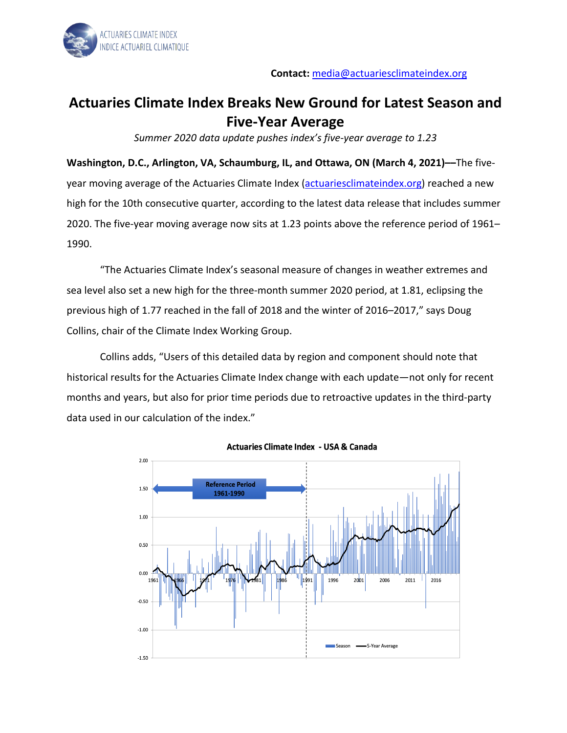

## **Actuaries Climate Index Breaks New Ground for Latest Season and Five-Year Average**

*Summer 2020 data update pushes index's five-year average to 1.23*

**Washington, D.C., Arlington, VA, Schaumburg, IL, and Ottawa, ON (March 4, 2021)––**The five-year moving average of the Actuaries Climate Index [\(actuariesclimateindex.org\)](http://www.actuariesclimateindex.org/) reached a new high for the 10th consecutive quarter, according to the latest data release that includes summer 2020. The five-year moving average now sits at 1.23 points above the reference period of 1961– 1990.

"The Actuaries Climate Index's seasonal measure of changes in weather extremes and sea level also set a new high for the three-month summer 2020 period, at 1.81, eclipsing the previous high of 1.77 reached in the fall of 2018 and the winter of 2016–2017," says Doug Collins, chair of the Climate Index Working Group.

Collins adds, "Users of this detailed data by region and component should note that historical results for the Actuaries Climate Index change with each update—not only for recent months and years, but also for prior time periods due to retroactive updates in the third-party data used in our calculation of the index."



**Actuaries Climate Index - USA & Canada**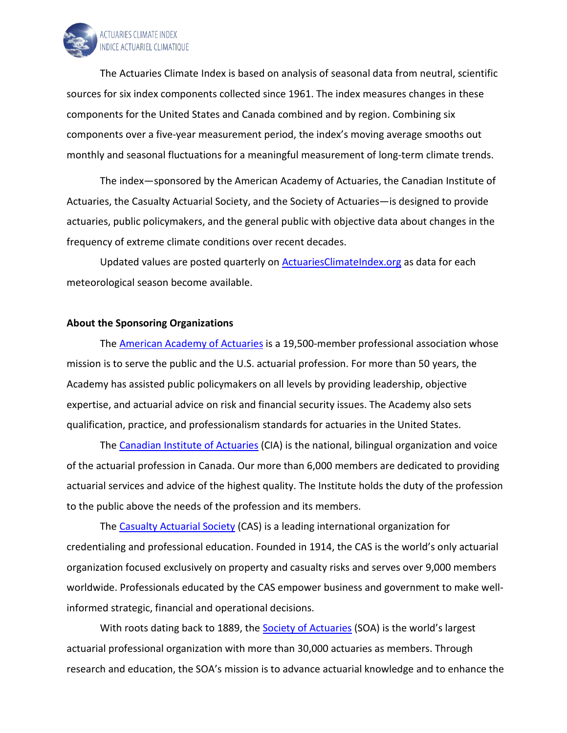

The Actuaries Climate Index is based on analysis of seasonal data from neutral, scientific sources for six index components collected since 1961. The index measures changes in these components for the United States and Canada combined and by region. Combining six components over a five-year measurement period, the index's moving average smooths out monthly and seasonal fluctuations for a meaningful measurement of long-term climate trends.

The index—sponsored by the American Academy of Actuaries, the Canadian Institute of Actuaries, the Casualty Actuarial Society, and the Society of Actuaries—is designed to provide actuaries, public policymakers, and the general public with objective data about changes in the frequency of extreme climate conditions over recent decades.

Updated values are posted quarterly on **ActuariesClimateIndex.org** as data for each meteorological season become available.

## **About the Sponsoring Organizations**

The [American Academy of Actuaries](http://www.actuary.org/) is a 19,500-member professional association whose mission is to serve the public and the U.S. actuarial profession. For more than 50 years, the Academy has assisted public policymakers on all levels by providing leadership, objective expertise, and actuarial advice on risk and financial security issues. The Academy also sets qualification, practice, and professionalism standards for actuaries in the United States.

The [Canadian Institute of Actuaries](https://www.cia-ica.ca/home) (CIA) is the national, bilingual organization and voice of the actuarial profession in Canada. Our more than 6,000 members are dedicated to providing actuarial services and advice of the highest quality. The Institute holds the duty of the profession to the public above the needs of the profession and its members.

The [Casualty Actuarial Society](http://www.casact.org/) (CAS) is a leading international organization for credentialing and professional education. Founded in 1914, the CAS is the world's only actuarial organization focused exclusively on property and casualty risks and serves over 9,000 members worldwide. Professionals educated by the CAS empower business and government to make wellinformed strategic, financial and operational decisions.

With roots dating back to 1889, th[e Society of Actuaries](http://www.soa.org/) (SOA) is the world's largest actuarial professional organization with more than 30,000 actuaries as members. Through research and education, the SOA's mission is to advance actuarial knowledge and to enhance the